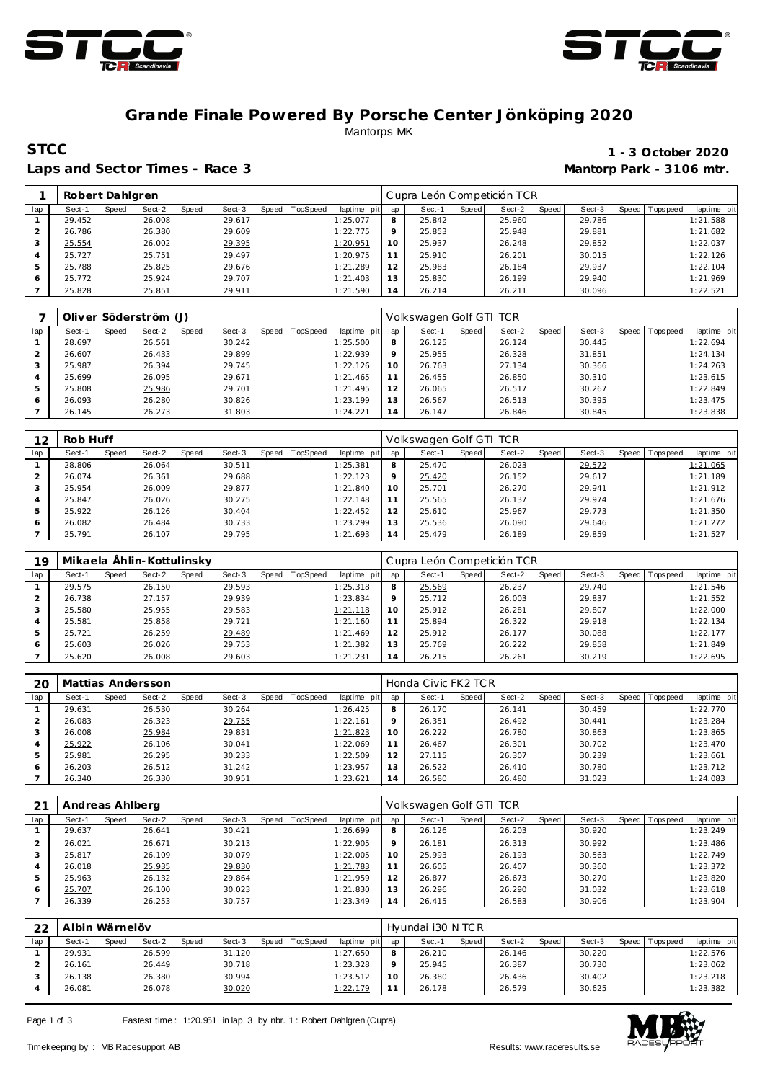



## **Grande Finale Powered By Porsche Center Jönköping 2020** Mantorps MK

### Laps and Sector Times - Race 3 **Mantorp Park - 3106 mtr.**

# **STCC** 1 - 3 October 2020

|     | Robert Dahlgren |       |        |       |        |       |          |                |             | Cupra León Competición TCR |       |        |       |        |       |           |             |
|-----|-----------------|-------|--------|-------|--------|-------|----------|----------------|-------------|----------------------------|-------|--------|-------|--------|-------|-----------|-------------|
| lap | Sect-1          | Speed | Sect-2 | Speed | Sect-3 | Speed | TopSpeed | laptime<br>pit | lap         | Sect-1                     | Speed | Sect-2 | Speed | Sect-3 | Speed | Tops peed | laptime pit |
|     | 29.452          |       | 26.008 |       | 29.617 |       |          | 1:25.077       | 8           | 25.842                     |       | 25.960 |       | 29.786 |       |           | 1:21.588    |
|     | 26.786          |       | 26.380 |       | 29.609 |       |          | 1:22.775       | $\mathsf Q$ | 25.853                     |       | 25.948 |       | 29.881 |       |           | 1:21.682    |
|     | 25.554          |       | 26.002 |       | 29.395 |       |          | 1:20.951       | 10          | 25.937                     |       | 26.248 |       | 29.852 |       |           | 1:22.037    |
| 4   | 25.727          |       | 25.751 |       | 29.497 |       |          | 1:20.975       |             | 25.910                     |       | 26.201 |       | 30.015 |       |           | 1:22.126    |
|     | 25.788          |       | 25.825 |       | 29.676 |       |          | 1:21.289       | 12          | 25.983                     |       | 26.184 |       | 29.937 |       |           | 1:22.104    |
| 6   | 25.772          |       | 25.924 |       | 29.707 |       |          | 1:21.403       | 13          | 25.830                     |       | 26.199 |       | 29.940 |       |           | 1:21.969    |
|     | 25.828          |       | 25.851 |       | 29.911 |       |          | 1:21.590       | 14          | 26.214                     |       | 26.211 |       | 30.096 |       |           | 1:22.521    |

|     |        |       | Oliver Söderström (J) |       |        |       |                 |             |         | Volkswagen Golf GTI TCR |       |        |       |        |                 |             |
|-----|--------|-------|-----------------------|-------|--------|-------|-----------------|-------------|---------|-------------------------|-------|--------|-------|--------|-----------------|-------------|
| lap | Sect-1 | Speed | Sect-2                | Speed | Sect-3 | Speed | <b>TopSpeed</b> | laptime pit | lap     | Sect-1                  | Speed | Sect-2 | Speed | Sect-3 | Speed Tops peed | laptime pit |
|     | 28.697 |       | 26.561                |       | 30.242 |       |                 | 1:25.500    | 8       | 26.125                  |       | 26.124 |       | 30.445 |                 | 1:22.694    |
|     | 26.607 |       | 26.433                |       | 29.899 |       |                 | 1:22.939    | $\circ$ | 25.955                  |       | 26.328 |       | 31.851 |                 | 1:24.134    |
| 3   | 25.987 |       | 26.394                |       | 29.745 |       |                 | 1:22.126    | 10      | 26.763                  |       | 27.134 |       | 30.366 |                 | 1:24.263    |
| 4   | 25.699 |       | 26.095                |       | 29.671 |       |                 | 1:21.465    |         | 26.455                  |       | 26.850 |       | 30.310 |                 | 1:23.615    |
| 5   | 25.808 |       | 25.986                |       | 29.701 |       |                 | 1:21.495    | 12      | 26.065                  |       | 26.517 |       | 30.267 |                 | 1:22.849    |
| 6   | 26.093 |       | 26.280                |       | 30.826 |       |                 | 1:23.199    | 13      | 26.567                  |       | 26.513 |       | 30.395 |                 | 1:23.475    |
|     | 26.145 |       | 26.273                |       | 31.803 |       |                 | 1:24.221    | 14      | 26.147                  |       | 26.846 |       | 30.845 |                 | 1:23.838    |

| 12  | Rob Huff |       |        |       |        |              |          |             |         | Volkswagen Golf GTI TCR |       |        |       |        |       |            |             |
|-----|----------|-------|--------|-------|--------|--------------|----------|-------------|---------|-------------------------|-------|--------|-------|--------|-------|------------|-------------|
| lap | Sect-1   | Speed | Sect-2 | Speed | Sect-3 | <b>Speed</b> | TopSpeed | laptime pit | lap     | Sect-1                  | Speed | Sect-2 | Speed | Sect-3 | Speed | Tops pee d | laptime pit |
|     | 28.806   |       | 26.064 |       | 30.511 |              |          | 1:25.381    | 8       | 25.470                  |       | 26.023 |       | 29.572 |       |            | 1:21.065    |
|     | 26.074   |       | 26.361 |       | 29.688 |              |          | 1:22.123    | $\circ$ | 25.420                  |       | 26.152 |       | 29.617 |       |            | 1:21.189    |
| 3   | 25.954   |       | 26.009 |       | 29.877 |              |          | 1:21.840    | 10      | 25.701                  |       | 26.270 |       | 29.941 |       |            | 1:21.912    |
| 4   | 25.847   |       | 26.026 |       | 30.275 |              |          | 1:22.148    | 11      | 25.565                  |       | 26.137 |       | 29.974 |       |            | 1:21.676    |
| ь   | 25.922   |       | 26.126 |       | 30.404 |              |          | 1:22.452    | 12      | 25.610                  |       | 25.967 |       | 29.773 |       |            | 1:21.350    |
| 6   | 26.082   |       | 26.484 |       | 30.733 |              |          | 1:23.299    | 13      | 25.536                  |       | 26.090 |       | 29.646 |       |            | 1:21.272    |
|     | 25.791   |       | 26.107 |       | 29.795 |              |          | 1:21.693    | 14      | 25.479                  |       | 26.189 |       | 29.859 |       |            | 1:21.527    |

| 19  |        |       | Mikaela Ählin-Kottulinsky |       |        |              |          |             |                 | Cupra León Competición TCR |       |        |       |        |       |             |             |
|-----|--------|-------|---------------------------|-------|--------|--------------|----------|-------------|-----------------|----------------------------|-------|--------|-------|--------|-------|-------------|-------------|
| lap | Sect-1 | Speed | Sect-2                    | Speed | Sect-3 | <b>Speed</b> | TopSpeed | laptime pit | lap             | Sect-1                     | Speed | Sect-2 | Speed | Sect-3 | Speed | T ops pee d | laptime pit |
|     | 29.575 |       | 26.150                    |       | 29.593 |              |          | 1:25.318    | 8               | 25.569                     |       | 26.237 |       | 29.740 |       |             | 1:21.546    |
|     | 26.738 |       | 27.157                    |       | 29.939 |              |          | 1:23.834    | $\Omega$        | 25.712                     |       | 26.003 |       | 29.837 |       |             | 1:21.552    |
|     | 25.580 |       | 25.955                    |       | 29.583 |              |          | 1:21.118    | 10              | 25.912                     |       | 26.281 |       | 29.807 |       |             | 1:22.000    |
|     | 25.581 |       | 25.858                    |       | 29.721 |              |          | 1:21.160    |                 | 25.894                     |       | 26.322 |       | 29.918 |       |             | 1:22.134    |
|     | 25.721 |       | 26.259                    |       | 29.489 |              |          | 1:21.469    | 12 <sub>1</sub> | 25.912                     |       | 26.177 |       | 30.088 |       |             | 1:22.177    |
| 6   | 25.603 |       | 26.026                    |       | 29.753 |              |          | 1:21.382    | 13              | 25.769                     |       | 26.222 |       | 29.858 |       |             | 1:21.849    |
|     | 25.620 |       | 26.008                    |       | 29.603 |              |          | 1:21.231    | $\overline{A}$  | 26.215                     |       | 26.261 |       | 30.219 |       |             | 1:22.695    |

| 20  |        |       | Mattias Andersson |              |        |       |                 |             |     | Honda Civic FK2 TCR |              |        |       |        |                |             |
|-----|--------|-------|-------------------|--------------|--------|-------|-----------------|-------------|-----|---------------------|--------------|--------|-------|--------|----------------|-------------|
| lap | Sect-1 | Speed | Sect-2            | <b>Speed</b> | Sect-3 | Speed | <b>TopSpeed</b> | laptime pit | lap | Sect-1              | <b>Speed</b> | Sect-2 | Speed | Sect-3 | Speed Topspeed | laptime pit |
|     | 29.631 |       | 26.530            |              | 30.264 |       |                 | 1:26.425    | 8   | 26.170              |              | 26.141 |       | 30.459 |                | 1:22.770    |
|     | 26.083 |       | 26.323            |              | 29.755 |       |                 | 1:22.161    | Q   | 26.351              |              | 26.492 |       | 30.441 |                | 1:23.284    |
|     | 26.008 |       | 25.984            |              | 29.831 |       |                 | 1:21.823    | 10  | 26.222              |              | 26.780 |       | 30.863 |                | 1:23.865    |
|     | 25.922 |       | 26.106            |              | 30.041 |       |                 | 1:22.069    | 11  | 26.467              |              | 26.301 |       | 30.702 |                | 1:23.470    |
|     | 25.981 |       | 26.295            |              | 30.233 |       |                 | 1:22.509    | 12  | 27.115              |              | 26.307 |       | 30.239 |                | 1:23.661    |
| 6   | 26.203 |       | 26.512            |              | 31.242 |       |                 | 1:23.957    | 13  | 26.522              |              | 26.410 |       | 30.780 |                | 1:23.712    |
|     | 26.340 |       | 26.330            |              | 30.951 |       |                 | 1:23.621    | 14  | 26.580              |              | 26.480 |       | 31.023 |                | 1:24.083    |

| 21  | Andreas Ahlberg |       |        |       |        |       |          |             |     | Volkswagen Golf GTI TCR |       |        |       |        |       |           |             |
|-----|-----------------|-------|--------|-------|--------|-------|----------|-------------|-----|-------------------------|-------|--------|-------|--------|-------|-----------|-------------|
| lap | Sect-1          | Speed | Sect-2 | Speed | Sect-3 | Speed | TopSpeed | laptime pit | lap | Sect-1                  | Speed | Sect-2 | Speed | Sect-3 | Speed | Tops peed | laptime pit |
|     | 29.637          |       | 26.641 |       | 30.421 |       |          | 1:26.699    | 8   | 26.126                  |       | 26.203 |       | 30.920 |       |           | 1:23.249    |
|     | 26.021          |       | 26.671 |       | 30.213 |       |          | 1:22.905    | 9   | 26.181                  |       | 26.313 |       | 30.992 |       |           | 1:23.486    |
|     | 25.817          |       | 26.109 |       | 30.079 |       |          | 1:22.005    | 10  | 25.993                  |       | 26.193 |       | 30.563 |       |           | 1:22.749    |
|     | 26.018          |       | 25.935 |       | 29.830 |       |          | 1:21.783    | 11  | 26.605                  |       | 26.407 |       | 30.360 |       |           | 1:23.372    |
| 5   | 25.963          |       | 26.132 |       | 29.864 |       |          | 1:21.959    | 12  | 26.877                  |       | 26.673 |       | 30.270 |       |           | 1:23.820    |
| 6   | 25.707          |       | 26.100 |       | 30.023 |       |          | 1:21.830    | 13  | 26.296                  |       | 26.290 |       | 31.032 |       |           | 1:23.618    |
|     | 26.339          |       | 26.253 |       | 30.757 |       |          | 1:23.349    | 14  | 26.415                  |       | 26.583 |       | 30.906 |       |           | 1:23.904    |

| 22  | Albin Wärnelöv |       |        |       |        |       |          |             |         | Hyundai i30 N TC R |       |        |       |        |       |            |             |
|-----|----------------|-------|--------|-------|--------|-------|----------|-------------|---------|--------------------|-------|--------|-------|--------|-------|------------|-------------|
| lap | Sect-1         | Speed | Sect-2 | Speed | Sect-3 | Speed | TopSpeed | laptime pit | lap     | Sect-              | Speed | Sect-2 | Speed | Sect-3 | Speed | Tops pee d | laptime pit |
|     | 29.931         |       | 26.599 |       | 31.120 |       |          | 1:27.650    | 8       | 26.210             |       | 26.146 |       | 30.220 |       |            | 1:22.576    |
|     | 26.161         |       | 26.449 |       | 30.718 |       |          | 1:23.328    | $\circ$ | 25.945             |       | 26.387 |       | 30.730 |       |            | 1:23.062    |
|     | 26.138         |       | 26.380 |       | 30.994 |       |          | 1:23.512    | 10      | 26.380             |       | 26.436 |       | 30.402 |       |            | 1:23.218    |
|     | 26.081         |       | 26.078 |       | 30.020 |       |          | 1:22.179    |         | 26.178             |       | 26.579 |       | 30.625 |       |            | 1:23.382    |

Page 1 of 3 Fastest time: 1:20.951 in lap 3 by nbr. 1: Robert Dahlgren (Cupra)

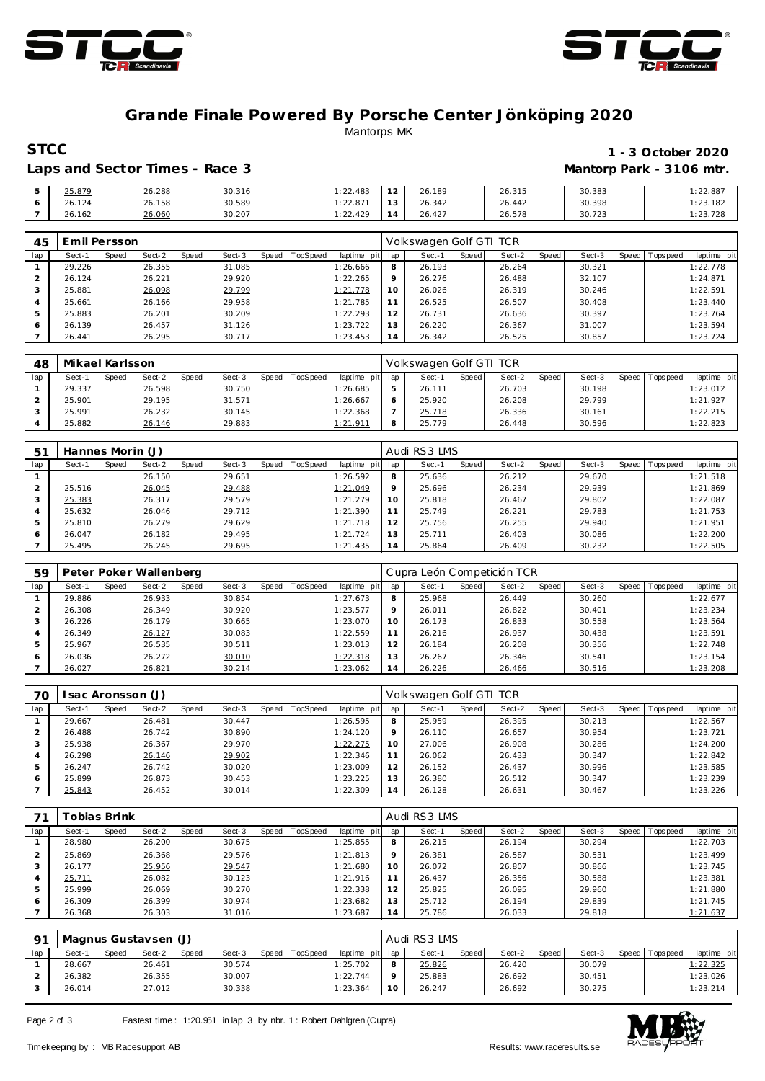



### **Grande Finale Powered By Porsche Center Jönköping 2020** Mantorps MK

### **STCC** 1 - 3 October 2020 Laps and Sector Times - Race 3 **Mantorp Park - 3106 mtr.**

| 25.879 | 26.288 | 30.316 | : 22.483             | 1 <sub>2</sub><br>$\angle$ | 26.189 | 26.315 | 30.383 | 22.887   |
|--------|--------|--------|----------------------|----------------------------|--------|--------|--------|----------|
| 26.124 | 26.158 | 30.589 | 1:22.87 <sup>4</sup> | 13                         | 26.342 | 26.442 | 30.398 | : 23.182 |
| 26.162 | 26.060 | 30.207 | : 22.429             | $\overline{4}$             | 26.427 | 26.578 | 30.723 | : 23.728 |

| 45  | Emil Persson |       |        |       |        |       |          |             |         | Volkswagen Golf GTI TCR |       |        |       |        |       |             |             |
|-----|--------------|-------|--------|-------|--------|-------|----------|-------------|---------|-------------------------|-------|--------|-------|--------|-------|-------------|-------------|
| lap | Sect-1       | Speed | Sect-2 | Speed | Sect-3 | Speed | TopSpeed | laptime pit | lap     | Sect-1                  | Speed | Sect-2 | Speed | Sect-3 | Speed | T ops pee d | laptime pit |
|     | 29.226       |       | 26.355 |       | 31.085 |       |          | 1:26.666    | 8       | 26.193                  |       | 26.264 |       | 30.321 |       |             | 1:22.778    |
|     | 26.124       |       | 26.221 |       | 29.920 |       |          | 1:22.265    | $\circ$ | 26.276                  |       | 26.488 |       | 32.107 |       |             | 1:24.871    |
|     | 25.881       |       | 26.098 |       | 29.799 |       |          | 1:21.778    | 10      | 26.026                  |       | 26.319 |       | 30.246 |       |             | 1:22.591    |
|     | 25.661       |       | 26.166 |       | 29.958 |       |          | 1:21.785    |         | 26.525                  |       | 26.507 |       | 30.408 |       |             | 1:23.440    |
|     | 25.883       |       | 26.201 |       | 30.209 |       |          | 1:22.293    | 12      | 26.731                  |       | 26.636 |       | 30.397 |       |             | 1:23.764    |
|     | 26.139       |       | 26.457 |       | 31.126 |       |          | 1:23.722    | 13      | 26.220                  |       | 26.367 |       | 31.007 |       |             | 1:23.594    |
|     | 26.441       |       | 26.295 |       | 30.717 |       |          | 1:23.453    | 14      | 26.342                  |       | 26.525 |       | 30.857 |       |             | 1:23.724    |

| 48  | Mikael Karlsson |       |        |       |        |       |          |                 |   | Volkswagen Golf GTI TCR |       |        |       |        |                 |             |
|-----|-----------------|-------|--------|-------|--------|-------|----------|-----------------|---|-------------------------|-------|--------|-------|--------|-----------------|-------------|
| lap | Sect-1          | Speed | Sect-2 | Speed | Sect-3 | Speed | TopSpeed | laptime pit lap |   | Sect-'                  | Speed | Sect-2 | Speed | Sect-3 | Speed Tops peed | laptime pit |
|     | 29.337          |       | 26.598 |       | 30.750 |       |          | 1:26.685        | 5 | 26.111                  |       | 26.703 |       | 30.198 |                 | 1:23.012    |
|     | 25.901          |       | 29.195 |       | 31.571 |       |          | 1:26.667        |   | 25.920                  |       | 26.208 |       | 29.799 |                 | 1:21.927    |
|     | 25.991          |       | 26.232 |       | 30.145 |       |          | 1:22.368        |   | 25.718                  |       | 26.336 |       | 30.161 |                 | 1:22.215    |
|     | 25.882          |       | 26.146 |       | 29.883 |       |          | <u>1:21.911</u> | 8 | 25.779                  |       | 26.448 |       | 30.596 |                 | 1:22.823    |

| 5 <sup>1</sup> | Hannes Morin (J) |       |        |       |        |       |         |             |                | Audi RS3 LMS |       |        |       |        |         |            |             |
|----------------|------------------|-------|--------|-------|--------|-------|---------|-------------|----------------|--------------|-------|--------|-------|--------|---------|------------|-------------|
| lap            | Sect-1           | Speed | Sect-2 | Speed | Sect-3 | Speed | opSpeed | laptime pit | lap            | Sect-1       | Speed | Sect-2 | Speed | Sect-3 | Speed I | T ops peed | laptime pit |
|                |                  |       | 26.150 |       | 29.651 |       |         | 1:26.592    | 8              | 25.636       |       | 26.212 |       | 29.670 |         |            | 1:21.518    |
|                | 25.516           |       | 26.045 |       | 29.488 |       |         | 1:21.049    | $\circ$        | 25.696       |       | 26.234 |       | 29.939 |         |            | 1:21.869    |
| 3              | 25.383           |       | 26.317 |       | 29.579 |       |         | 1:21.279    | 10             | 25.818       |       | 26.467 |       | 29.802 |         |            | 1:22.087    |
| 4              | 25.632           |       | 26.046 |       | 29.712 |       |         | 1:21.390    | 11             | 25.749       |       | 26.221 |       | 29.783 |         |            | 1:21.753    |
| ь              | 25.810           |       | 26.279 |       | 29.629 |       |         | 1:21.718    | 12             | 25.756       |       | 26.255 |       | 29.940 |         |            | 1:21.951    |
| 6              | 26.047           |       | 26.182 |       | 29.495 |       |         | 1:21.724    | 13             | 25.711       |       | 26.403 |       | 30.086 |         |            | 1:22.200    |
|                | 25.495           |       | 26.245 |       | 29.695 |       |         | 1:21.435    | $\overline{4}$ | 25.864       |       | 26.409 |       | 30.232 |         |            | 1:22.505    |

| 59  |        |       | Peter Poker Wallenberg |       |        |       |          |             |         | Cupra León Competición TCR |       |        |       |        |       |          |             |
|-----|--------|-------|------------------------|-------|--------|-------|----------|-------------|---------|----------------------------|-------|--------|-------|--------|-------|----------|-------------|
| lap | Sect-1 | Speed | Sect-2                 | Speed | Sect-3 | Speed | TopSpeed | laptime pit | lap     | Sect-1                     | Speed | Sect-2 | Speed | Sect-3 | Speed | Topspeed | laptime pit |
|     | 29.886 |       | 26.933                 |       | 30.854 |       |          | 1:27.673    | 8       | 25.968                     |       | 26.449 |       | 30.260 |       |          | 1:22.677    |
|     | 26.308 |       | 26.349                 |       | 30.920 |       |          | 1:23.577    | $\circ$ | 26.011                     |       | 26.822 |       | 30.401 |       |          | 1:23.234    |
|     | 26.226 |       | 26.179                 |       | 30.665 |       |          | 1:23.070    | 10      | 26.173                     |       | 26.833 |       | 30.558 |       |          | 1:23.564    |
|     | 26.349 |       | 26.127                 |       | 30.083 |       |          | 1:22.559    |         | 26.216                     |       | 26.937 |       | 30.438 |       |          | 1:23.591    |
| 5   | 25.967 |       | 26.535                 |       | 30.511 |       |          | 1:23.013    | 12      | 26.184                     |       | 26.208 |       | 30.356 |       |          | 1:22.748    |
| 6   | 26.036 |       | 26.272                 |       | 30.010 |       |          | 1:22.318    | 13      | 26.267                     |       | 26.346 |       | 30.541 |       |          | 1:23.154    |
|     | 26.027 |       | 26.821                 |       | 30.214 |       |          | 1:23.062    | 14      | 26.226                     |       | 26.466 |       | 30.516 |       |          | 1:23.208    |

| 70  | sac Aronsson (J) |       |        |       |        |       |          | Volkswagen Golf GTI TCR |         |        |              |        |         |        |  |                 |             |
|-----|------------------|-------|--------|-------|--------|-------|----------|-------------------------|---------|--------|--------------|--------|---------|--------|--|-----------------|-------------|
| lap | Sect-1           | Speed | Sect-2 | Speed | Sect-3 | Speed | TopSpeed | laptime pit lap         |         | Sect-1 | <b>Speed</b> | Sect-2 | Speed ' | Sect-3 |  | Speed Tops peed | laptime pit |
|     | 29.667           |       | 26.481 |       | 30.447 |       |          | 1:26.595                | 8       | 25.959 |              | 26.395 |         | 30.213 |  |                 | 1:22.567    |
|     | 26.488           |       | 26.742 |       | 30.890 |       |          | 1:24.120                | $\circ$ | 26.110 |              | 26.657 |         | 30.954 |  |                 | 1:23.721    |
|     | 25.938           |       | 26.367 |       | 29.970 |       |          | 1:22.275                | 10      | 27.006 |              | 26.908 |         | 30.286 |  |                 | 1:24.200    |
| 4   | 26.298           |       | 26.146 |       | 29.902 |       |          | 1:22.346                |         | 26.062 |              | 26.433 |         | 30.347 |  |                 | 1:22.842    |
| 5   | 26.247           |       | 26.742 |       | 30.020 |       |          | 1:23.009                | 12      | 26.152 |              | 26.437 |         | 30.996 |  |                 | 1:23.585    |
| 6   | 25.899           |       | 26.873 |       | 30.453 |       |          | 1:23.225                | 13      | 26.380 |              | 26.512 |         | 30.347 |  |                 | 1:23.239    |
|     | 25.843           |       | 26.452 |       | 30.014 |       |          | 1:22.309                | 14      | 26.128 |              | 26.631 |         | 30.467 |  |                 | 1:23.226    |

|     | Гоbias Brink |       |        |       |        |       |                 | Audi RS3 LMS |         |        |       |        |       |        |       |           |             |
|-----|--------------|-------|--------|-------|--------|-------|-----------------|--------------|---------|--------|-------|--------|-------|--------|-------|-----------|-------------|
| lap | Sect-1       | Speed | Sect-2 | Speed | Sect-3 | Speed | <b>TopSpeed</b> | laptime pit  | lap     | Sect-1 | Speed | Sect-2 | Speed | Sect-3 | Speed | Tops peed | laptime pit |
|     | 28.980       |       | 26.200 |       | 30.675 |       |                 | 1:25.855     | 8       | 26.215 |       | 26.194 |       | 30.294 |       |           | 1:22.703    |
|     | 25.869       |       | 26.368 |       | 29.576 |       |                 | 1:21.813     | $\circ$ | 26.381 |       | 26.587 |       | 30.531 |       |           | 1:23.499    |
|     | 26.177       |       | 25.956 |       | 29.547 |       |                 | 1:21.680     | 10      | 26.072 |       | 26.807 |       | 30.866 |       |           | 1:23.745    |
|     | 25.711       |       | 26.082 |       | 30.123 |       |                 | 1:21.916     | 11      | 26.437 |       | 26.356 |       | 30.588 |       |           | 1:23.381    |
|     | 25.999       |       | 26.069 |       | 30.270 |       |                 | 1:22.338     | 12      | 25.825 |       | 26.095 |       | 29.960 |       |           | 1:21.880    |
| 6   | 26.309       |       | 26.399 |       | 30.974 |       |                 | 1:23.682     | 13      | 25.712 |       | 26.194 |       | 29.839 |       |           | 1:21.745    |
|     | 26.368       |       | 26.303 |       | 31.016 |       |                 | 1:23.687     | 14      | 25.786 |       | 26.033 |       | 29.818 |       |           | 1:21.637    |

| O1  | Magnus Gustavsen (J) |       |        |       |        |       |          | Audi RS3 LMS    |    |        |       |        |       |        |       |            |             |
|-----|----------------------|-------|--------|-------|--------|-------|----------|-----------------|----|--------|-------|--------|-------|--------|-------|------------|-------------|
| lap | Sect-1               | Speed | Sect-2 | Speed | Sect-3 | Speed | TopSpeed | laptime pit lap |    | Sect-1 | Speed | Sect-2 | Speed | Sect-3 | Speed | Tops pee d | laptime pit |
|     | 28.667               |       | 26.461 |       | 30.574 |       |          | 1:25.702        |    | 25.826 |       | 26.420 |       | 30.079 |       |            | 1:22.325    |
|     | 26.382               |       | 26.355 |       | 30.007 |       |          | 1:22.744        |    | 25.883 |       | 26.692 |       | 30.451 |       |            | 1:23.026    |
|     | 26.014               |       | 27.012 |       | 30.338 |       |          | 1:23.364        | 10 | 26.247 |       | 26.692 |       | 30.275 |       |            | 1:23.214    |

Page 2 of 3 Fastest time: 1:20.951 in lap 3 by nbr. 1: Robert Dahlgren (Cupra)